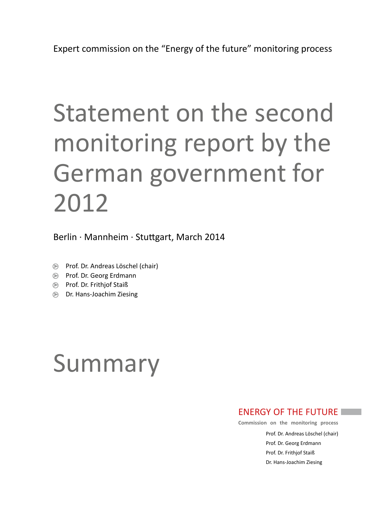# Statement on the second monitoring report by the German government for 2012

Berlin · Mannheim · Stuttgart, March 2014

- ➤ Prof. Dr. Andreas Löschel (chair)
- ➤ Prof. Dr. Georg Erdmann
- ➤ Prof. Dr. Frithjof Staiß
- ➤ Dr. Hans-Joachim Ziesing

# Summary

## ENERGY OF THE FUTURE

**Commission on the monitoring process**

Prof. Dr. Andreas Löschel (chair) Prof. Dr. Georg Erdmann Prof. Dr. Frithjof Staiß Dr. Hans-Joachim Ziesing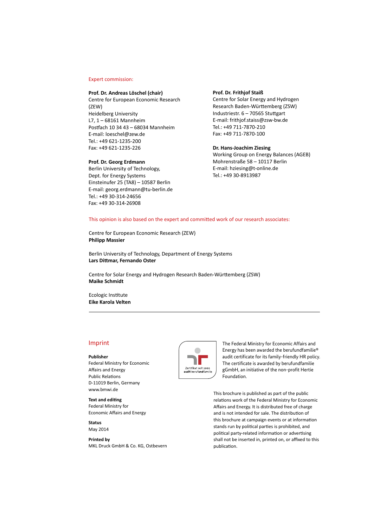#### Expert commission:

#### **Prof. Dr. Andreas Löschel (chair)**

Centre for European Economic Research (ZEW) Heidelberg University L7, 1 – 68161 Mannheim Postfach 10 34 43 – 68034 Mannheim E-mail: [loeschel@zew.de](mailto:loeschel%40zew.de?subject=) Tel.: +49 621-1235-200 Fax: +49 621-1235-226

#### **Prof. Dr. Georg Erdmann**

Berlin University of Technology, Dept. for Energy Systems Einsteinufer 25 (TA8) – 10587 Berlin E-mail: [georg.erdmann@tu-berlin.de](mailto:georg.erdmann%40tu-berlin.de?subject=)  Tel.: +49 30-314-24656 Fax: +49 30-314-26908

#### **Prof. Dr. Frithjof Staiß**

Centre for Solar Energy and Hydrogen Research Baden-Württemberg (ZSW) Industriestr. 6 – 70565 Stuttgart E-mail: [frithjof.staiss@zsw-bw.de](mailto:frithjof.staiss%40zsw-bw.de?subject=)  Tel.: +49 711-7870-210 Fax: +49 711-7870-100

## **Dr. Hans-Joachim Ziesing**

Working Group on Energy Balances (AGEB) Mohrenstraße 58 – 10117 Berlin E-mail: [hziesing@t-online.de](mailto:hziesing%40t-online.de?subject=) Tel.: +49 30-8913987

#### This opinion is also based on the expert and committed work of our research associates:

Centre for European Economic Research (ZEW) **Philipp Massier**

Berlin University of Technology, Department of Energy Systems **Lars Dittmar, Fernando Oster**

Centre for Solar Energy and Hydrogen Research Baden-Württemberg (ZSW) **Maike Schmidt**

Ecologic Institute **Eike Karola Velten**

### Imprint

#### **Publisher**

Federal Ministry for Economic Affairs and Energy Public Relations D-11019 Berlin, Germany [www.bmwi.de](http://www.bmwi.de)

#### **Text and editing**

Federal Ministry for Economic Affairs and Energy

**Status** May 2014

**Printed by** MKL Druck GmbH & Co. KG, Ostbevern



The Federal Ministry for Economic Affairs and Energy has been awarded the berufundfamilie® audit certificate for its family-friendly HR policy. The certificate is awarded by berufundfamilie gGmbH, an initiative of the non-profit Hertie Foundation.

This brochure is published as part of the public relations work of the Federal Ministry for Economic Affairs and Energy. It is distributed free of charge and is not intended for sale. The distribution of this brochure at campaign events or at information stands run by political parties is prohibited, and political party-related information or advertising shall not be inserted in, printed on, or affixed to this publication.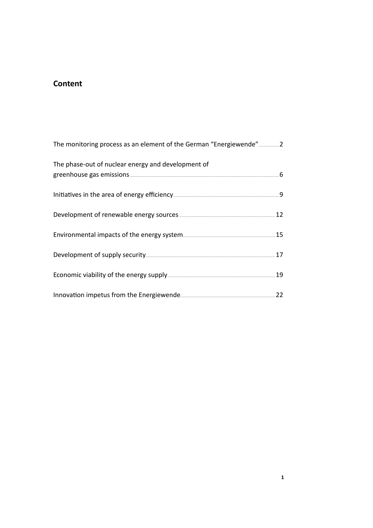## **Content**

| The phase-out of nuclear energy and development of                                                              |  |
|-----------------------------------------------------------------------------------------------------------------|--|
|                                                                                                                 |  |
|                                                                                                                 |  |
| Environmental impacts of the energy system [15] [15] The summary and the energy system [15] International Latin |  |
|                                                                                                                 |  |
|                                                                                                                 |  |
| Innovation impetus from the Energiewende 22 manuscript 22                                                       |  |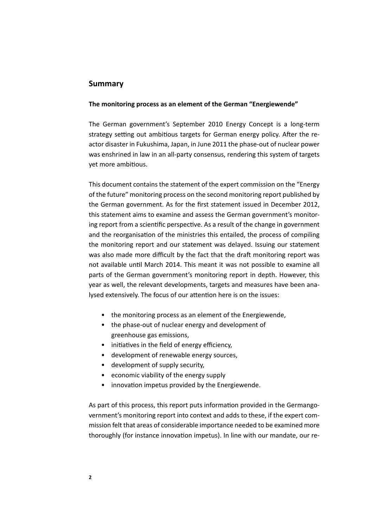## **Summary**

## **The monitoring process as an element of the German "Energiewende"**

The German government's September 2010 Energy Concept is a long-term strategy setting out ambitious targets for German energy policy. After the reactor disaster in Fukushima, Japan, in June 2011 the phase-out of nuclear power was enshrined in law in an all-party consensus, rendering this system of targets yet more ambitious.

This document contains the statement of the expert commission on the "Energy of the future" monitoring process on the second monitoring report published by the German government. As for the first statement issued in December 2012, this statement aims to examine and assess the German government's monitoring report from a scientific perspective. As a result of the change in government and the reorganisation of the ministries this entailed, the process of compiling the monitoring report and our statement was delayed. Issuing our statement was also made more difficult by the fact that the draft monitoring report was not available until March 2014. This meant it was not possible to examine all parts of the German government's monitoring report in depth. However, this year as well, the relevant developments, targets and measures have been analysed extensively. The focus of our attention here is on the issues:

- the monitoring process as an element of the Energiewende,
- the phase-out of nuclear energy and development of greenhouse gas emissions,
- initiatives in the field of energy efficiency,
- development of renewable energy sources,
- development of supply security,
- economic viability of the energy supply
- innovation impetus provided by the Energiewende.

As part of this process, this report puts information provided in the Germangovernment's monitoring report into context and adds to these, if the expert commission felt that areas of considerable importance needed to be examined more thoroughly (for instance innovation impetus). In line with our mandate, our re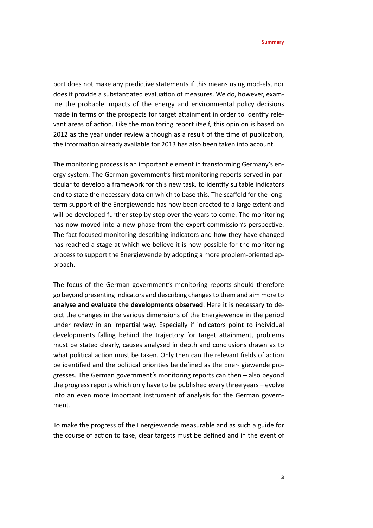port does not make any predictive statements if this means using mod-els, nor does it provide a substantiated evaluation of measures. We do, however, examine the probable impacts of the energy and environmental policy decisions made in terms of the prospects for target attainment in order to identify relevant areas of action. Like the monitoring report itself, this opinion is based on 2012 as the year under review although as a result of the time of publication, the information already available for 2013 has also been taken into account.

The monitoring process is an important element in transforming Germany's energy system. The German government's first monitoring reports served in particular to develop a framework for this new task, to identify suitable indicators and to state the necessary data on which to base this. The scaffold for the longterm support of the Energiewende has now been erected to a large extent and will be developed further step by step over the years to come. The monitoring has now moved into a new phase from the expert commission's perspective. The fact-focused monitoring describing indicators and how they have changed has reached a stage at which we believe it is now possible for the monitoring process to support the Energiewende by adopting a more problem-oriented approach.

The focus of the German government's monitoring reports should therefore go beyond presenting indicators and describing changes to them and aim more to **analyse and evaluate the developments observed**. Here it is necessary to depict the changes in the various dimensions of the Energiewende in the period under review in an impartial way. Especially if indicators point to individual developments falling behind the trajectory for target attainment, problems must be stated clearly, causes analysed in depth and conclusions drawn as to what political action must be taken. Only then can the relevant fields of action be identified and the political priorities be defined as the Ener- giewende progresses. The German government's monitoring reports can then – also beyond the progress reports which only have to be published every three years – evolve into an even more important instrument of analysis for the German government.

To make the progress of the Energiewende measurable and as such a guide for the course of action to take, clear targets must be defined and in the event of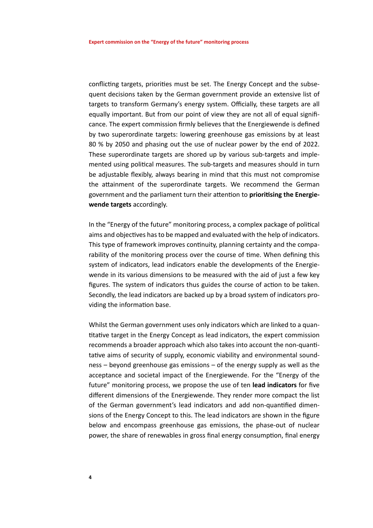conflicting targets, priorities must be set. The Energy Concept and the subsequent decisions taken by the German government provide an extensive list of targets to transform Germany's energy system. Officially, these targets are all equally important. But from our point of view they are not all of equal significance. The expert commission firmly believes that the Energiewende is defined by two superordinate targets: lowering greenhouse gas emissions by at least 80 % by 2050 and phasing out the use of nuclear power by the end of 2022. These superordinate targets are shored up by various sub-targets and implemented using political measures. The sub-targets and measures should in turn be adjustable flexibly, always bearing in mind that this must not compromise the attainment of the superordinate targets. We recommend the German government and the parliament turn their attention to **prioritising the Energiewende targets** accordingly.

In the "Energy of the future" monitoring process, a complex package of political aims and objectives has to be mapped and evaluated with the help of indicators. This type of framework improves continuity, planning certainty and the comparability of the monitoring process over the course of time. When defining this system of indicators, lead indicators enable the developments of the Energiewende in its various dimensions to be measured with the aid of just a few key figures. The system of indicators thus guides the course of action to be taken. Secondly, the lead indicators are backed up by a broad system of indicators providing the information base.

Whilst the German government uses only indicators which are linked to a quantitative target in the Energy Concept as lead indicators, the expert commission recommends a broader approach which also takes into account the non-quantitative aims of security of supply, economic viability and environmental soundness – beyond greenhouse gas emissions – of the energy supply as well as the acceptance and societal impact of the Energiewende. For the "Energy of the future" monitoring process, we propose the use of ten **lead indicators** for five different dimensions of the Energiewende. They render more compact the list of the German government's lead indicators and add non-quantified dimensions of the Energy Concept to this. The lead indicators are shown in the figure below and encompass greenhouse gas emissions, the phase-out of nuclear power, the share of renewables in gross final energy consumption, final energy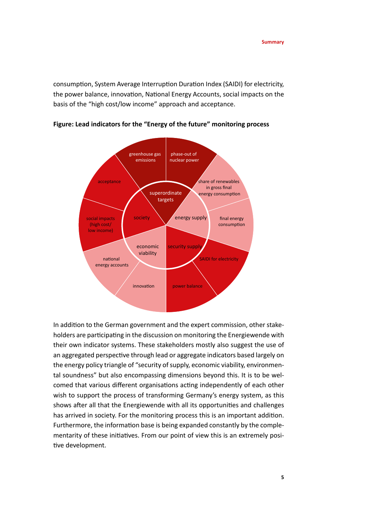consumption, System Average Interruption Duration Index (SAIDI) for electricity, the power balance, innovation, National Energy Accounts, social impacts on the basis of the "high cost/low income" approach and acceptance.



**Figure: Lead indicators for the "Energy of the future" monitoring process** 

In addition to the German government and the expert commission, other stakeholders are participating in the discussion on monitoring the Energiewende with their own indicator systems. These stakeholders mostly also suggest the use of an aggregated perspective through lead or aggregate indicators based largely on the energy policy triangle of "security of supply, economic viability, environmental soundness" but also encompassing dimensions beyond this. It is to be welcomed that various different organisations acting independently of each other wish to support the process of transforming Germany's energy system, as this shows after all that the Energiewende with all its opportunities and challenges has arrived in society. For the monitoring process this is an important addition. Furthermore, the information base is being expanded constantly by the complementarity of these initiatives. From our point of view this is an extremely positive development.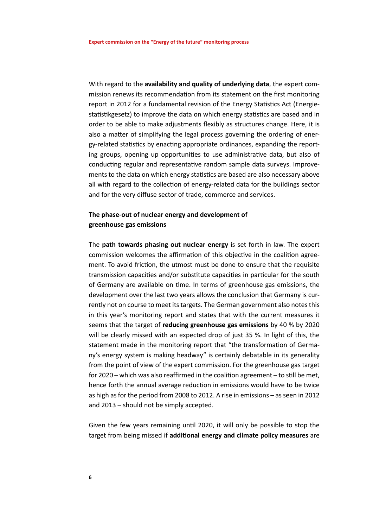With regard to the **availability and quality of underlying data**, the expert commission renews its recommendation from its statement on the first monitoring report in 2012 for a fundamental revision of the Energy Statistics Act (Energiestatistikgesetz) to improve the data on which energy statistics are based and in order to be able to make adjustments flexibly as structures change. Here, it is also a matter of simplifying the legal process governing the ordering of energy-related statistics by enacting appropriate ordinances, expanding the reporting groups, opening up opportunities to use administrative data, but also of conducting regular and representative random sample data surveys. Improvements to the data on which energy statistics are based are also necessary above all with regard to the collection of energy-related data for the buildings sector and for the very diffuse sector of trade, commerce and services.

## **The phase-out of nuclear energy and development of greenhouse gas emissions**

The **path towards phasing out nuclear energy** is set forth in law. The expert commission welcomes the affirmation of this objective in the coalition agreement. To avoid friction, the utmost must be done to ensure that the requisite transmission capacities and/or substitute capacities in particular for the south of Germany are available on time. In terms of greenhouse gas emissions, the development over the last two years allows the conclusion that Germany is currently not on course to meet its targets. The German government also notes this in this year's monitoring report and states that with the current measures it seems that the target of **reducing greenhouse gas emissions** by 40 % by 2020 will be clearly missed with an expected drop of just 35 %. In light of this, the statement made in the monitoring report that "the transformation of Germany's energy system is making headway" is certainly debatable in its generality from the point of view of the expert commission. For the greenhouse gas target for 2020 – which was also reaffirmed in the coalition agreement – to still be met, hence forth the annual average reduction in emissions would have to be twice as high as for the period from 2008 to 2012. A rise in emissions – as seen in 2012 and 2013 – should not be simply accepted.

Given the few years remaining until 2020, it will only be possible to stop the target from being missed if **additional energy and climate policy measures** are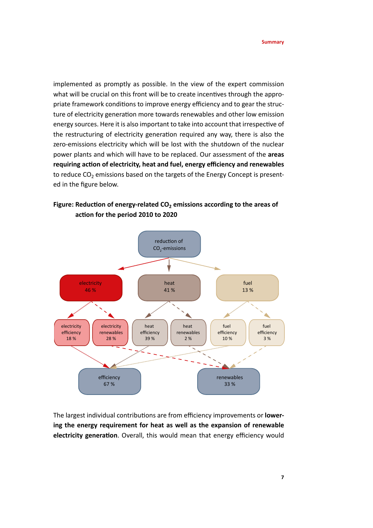implemented as promptly as possible. In the view of the expert commission what will be crucial on this front will be to create incentives through the appropriate framework conditions to improve energy efficiency and to gear the structure of electricity generation more towards renewables and other low emission energy sources. Here it is also important to take into account that irrespective of the restructuring of electricity generation required any way, there is also the zero-emissions electricity which will be lost with the shutdown of the nuclear power plants and which will have to be replaced. Our assessment of the **areas requiring action of electricity, heat and fuel, energy efficiency and renewables** to reduce  $CO<sub>2</sub>$  emissions based on the targets of the Energy Concept is presented in the figure below.

## **Figure: Reduction of energy-related CO2 emissions according to the areas of action for the period 2010 to 2020**



The largest individual contributions are from efficiency improvements or **lowering the energy requirement for heat as well as the expansion of renewable electricity generation**. Overall, this would mean that energy efficiency would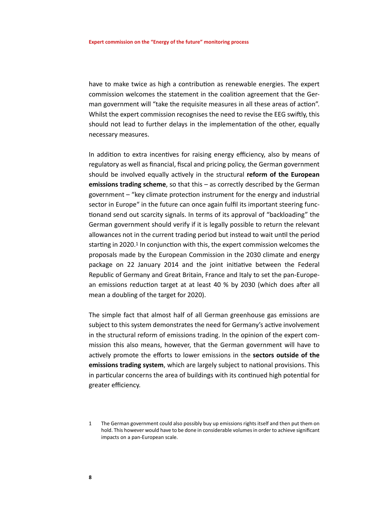have to make twice as high a contribution as renewable energies. The expert commission welcomes the statement in the coalition agreement that the German government will "take the requisite measures in all these areas of action". Whilst the expert commission recognises the need to revise the EEG swiftly, this should not lead to further delays in the implementation of the other, equally necessary measures.

In addition to extra incentives for raising energy efficiency, also by means of regulatory as well as financial, fiscal and pricing policy, the German government should be involved equally actively in the structural **reform of the European emissions trading scheme**, so that this – as correctly described by the German government – "key climate protection instrument for the energy and industrial sector in Europe" in the future can once again fulfil its important steering functionand send out scarcity signals. In terms of its approval of "backloading" the German government should verify if it is legally possible to return the relevant allowances not in the current trading period but instead to wait until the period starting in 2020.<sup>1</sup> In conjunction with this, the expert commission welcomes the proposals made by the European Commission in the 2030 climate and energy package on 22 January 2014 and the joint initiative between the Federal Republic of Germany and Great Britain, France and Italy to set the pan-European emissions reduction target at at least 40 % by 2030 (which does after all mean a doubling of the target for 2020).

The simple fact that almost half of all German greenhouse gas emissions are subject to this system demonstrates the need for Germany's active involvement in the structural reform of emissions trading. In the opinion of the expert commission this also means, however, that the German government will have to actively promote the efforts to lower emissions in the **sectors outside of the emissions trading system**, which are largely subject to national provisions. This in particular concerns the area of buildings with its continued high potential for greater efficiency.

<sup>1</sup> The German government could also possibly buy up emissions rights itself and then put them on hold. This however would have to be done in considerable volumes in order to achieve significant impacts on a pan-European scale.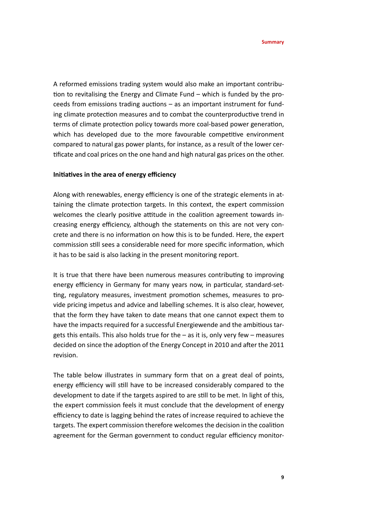A reformed emissions trading system would also make an important contribution to revitalising the Energy and Climate Fund – which is funded by the proceeds from emissions trading auctions – as an important instrument for funding climate protection measures and to combat the counterproductive trend in terms of climate protection policy towards more coal-based power generation, which has developed due to the more favourable competitive environment compared to natural gas power plants, for instance, as a result of the lower certificate and coal prices on the one hand and high natural gas prices on the other.

## **Initiatives in the area of energy efficiency**

Along with renewables, energy efficiency is one of the strategic elements in attaining the climate protection targets. In this context, the expert commission welcomes the clearly positive attitude in the coalition agreement towards increasing energy efficiency, although the statements on this are not very concrete and there is no information on how this is to be funded. Here, the expert commission still sees a considerable need for more specific information, which it has to be said is also lacking in the present monitoring report.

It is true that there have been numerous measures contributing to improving energy efficiency in Germany for many years now, in particular, standard-setting, regulatory measures, investment promotion schemes, measures to provide pricing impetus and advice and labelling schemes. It is also clear, however, that the form they have taken to date means that one cannot expect them to have the impacts required for a successful Energiewende and the ambitious targets this entails. This also holds true for the – as it is, only very few – measures decided on since the adoption of the Energy Concept in 2010 and after the 2011 revision.

The table below illustrates in summary form that on a great deal of points, energy efficiency will still have to be increased considerably compared to the development to date if the targets aspired to are still to be met. In light of this, the expert commission feels it must conclude that the development of energy efficiency to date is lagging behind the rates of increase required to achieve the targets. The expert commission therefore welcomes the decision in the coalition agreement for the German government to conduct regular efficiency monitor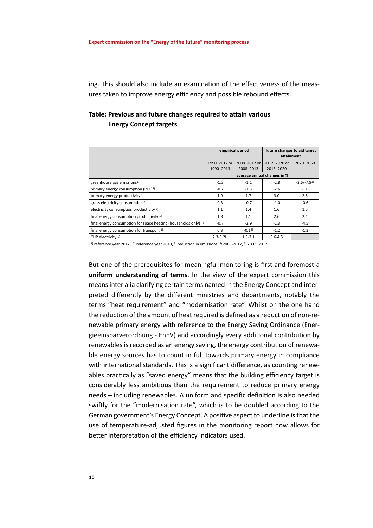ing. This should also include an examination of the effectiveness of the measures taken to improve energy efficiency and possible rebound effects.

## **Table: Previous and future changes required to attain various Energy Concept targets**

|                                                                                                                                                                                                                                  | empirical period            |              | future changes to aid target<br>attainment |              |  |
|----------------------------------------------------------------------------------------------------------------------------------------------------------------------------------------------------------------------------------|-----------------------------|--------------|--------------------------------------------|--------------|--|
|                                                                                                                                                                                                                                  | 1990-2012 or                | 2008-2012 or | 2012-2020 or                               | 2020-2050    |  |
|                                                                                                                                                                                                                                  | 1990-2013                   | 2008-2013    | 2013-2020                                  |              |  |
|                                                                                                                                                                                                                                  | average annual changes in % |              |                                            |              |  |
| greenhouse gas emissions <sup>1)</sup>                                                                                                                                                                                           | $-1.3$                      | $-1.1$       | $-2.8$                                     | $-3.6/-7.93$ |  |
| primary energy consumption (PEC) <sup>2)</sup>                                                                                                                                                                                   | $-0.2$                      | $-1.3$       | $-2.6$                                     | $-1.6$       |  |
| primary energy productivity 2)                                                                                                                                                                                                   | 1.9                         | 1.7          | 3.0                                        | 2.5          |  |
| gross electricity consumption 2)                                                                                                                                                                                                 | 0.3                         | $-0.7$       | $-1.0$                                     | $-0.6$       |  |
| electricity consumption productivity 2)                                                                                                                                                                                          | 1.1                         | 1.4          | 1.6                                        | 1.5          |  |
| final energy consumption productivity 1)                                                                                                                                                                                         | 1.8                         | 1.1          | 2.6                                        | 2.1          |  |
| final energy consumption for space heating (households only) 1)                                                                                                                                                                  | $-0.7$                      | $-2.9$       | $-1.3$                                     | $-4.5$       |  |
| final energy consumption for transport 1)                                                                                                                                                                                        | 0.3                         | $-0.14$      | $-1.2$                                     | $-1.3$       |  |
| CHP electricity <sup>1)</sup>                                                                                                                                                                                                    | $2.3 - 3.25$                | $1.6 - 3.1$  | $3.6 - 4.5$                                |              |  |
| $\cdots$ . The contract of the contract of the contract of the contract of the contract of the contract of the contract of the contract of the contract of the contract of the contract of the contract of the contract of the c |                             |              |                                            |              |  |

1) reference year 2012, 2) reference year 2013, 3) reduction in emissions, 4) 2005-2012, 5) 2003–2012

But one of the prerequisites for meaningful monitoring is first and foremost a **uniform understanding of terms**. In the view of the expert commission this means inter alia clarifying certain terms named in the Energy Concept and interpreted differently by the different ministries and departments, notably the terms "heat requirement" and "modernisation rate". Whilst on the one hand the reduction of the amount of heat required is defined as a reduction of non-renewable primary energy with reference to the Energy Saving Ordinance (Energieeinsparverordnung - EnEV) and accordingly every additional contribution by renewables is recorded as an energy saving, the energy contribution of renewable energy sources has to count in full towards primary energy in compliance with international standards. This is a significant difference, as counting renewables practically as "saved energy" means that the building efficiency target is considerably less ambitious than the requirement to reduce primary energy needs – including renewables. A uniform and specific definition is also needed swiftly for the "modernisation rate", which is to be doubled according to the German government's Energy Concept. A positive aspect to underline is that the use of temperature-adjusted figures in the monitoring report now allows for better interpretation of the efficiency indicators used.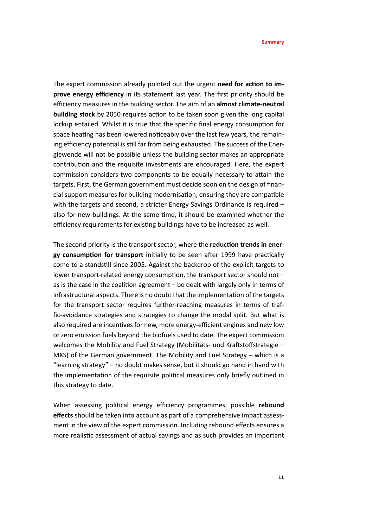The expert commission already pointed out the urgent **need for action to improve energy efficiency** in its statement last year. The first priority should be efficiency measures in the building sector. The aim of an **almost climate-neutral building stock** by 2050 requires action to be taken soon given the long capital lockup entailed. Whilst it is true that the specific final energy consumption for space heating has been lowered noticeably over the last few years, the remaining efficiency potential is still far from being exhausted. The success of the Energiewende will not be possible unless the building sector makes an appropriate contribution and the requisite investments are encouraged. Here, the expert commission considers two components to be equally necessary to attain the targets. First, the German government must decide soon on the design of financial support measures for building modernisation, ensuring they are compatible with the targets and second, a stricter Energy Savings Ordinance is required also for new buildings. At the same time, it should be examined whether the efficiency requirements for existing buildings have to be increased as well.

The second priority is the transport sector, where the **reduction trends in energy consumption for transport** initially to be seen after 1999 have practically come to a standstill since 2005. Against the backdrop of the explicit targets to lower transport-related energy consumption, the transport sector should not – as is the case in the coalition agreement – be dealt with largely only in terms of infrastructural aspects. There is no doubt that the implementation of the targets for the transport sector requires further-reaching measures in terms of traffic-avoidance strategies and strategies to change the modal split. But what is also required are incentives for new, more energy-efficient engines and new low or zero emission fuels beyond the biofuels used to date. The expert commission welcomes the Mobility and Fuel Strategy (Mobilitäts- und Kraftstoffstrategie – MKS) of the German government. The Mobility and Fuel Strategy – which is a "learning strategy" – no doubt makes sense, but it should go hand in hand with the implementation of the requisite political measures only briefly outlined in this strategy to date.

When assessing political energy efficiency programmes, possible **rebound effects** should be taken into account as part of a comprehensive impact assessment in the view of the expert commission. Including rebound effects ensures a more realistic assessment of actual savings and as such provides an important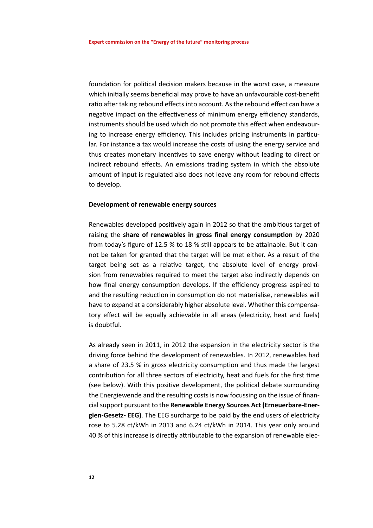foundation for political decision makers because in the worst case, a measure which initially seems beneficial may prove to have an unfavourable cost-benefit ratio after taking rebound effects into account. As the rebound effect can have a negative impact on the effectiveness of minimum energy efficiency standards, instruments should be used which do not promote this effect when endeavouring to increase energy efficiency. This includes pricing instruments in particular. For instance a tax would increase the costs of using the energy service and thus creates monetary incentives to save energy without leading to direct or indirect rebound effects. An emissions trading system in which the absolute amount of input is regulated also does not leave any room for rebound effects to develop.

## **Development of renewable energy sources**

Renewables developed positively again in 2012 so that the ambitious target of raising the **share of renewables in gross final energy consumption** by 2020 from today's figure of 12.5 % to 18 % still appears to be attainable. But it cannot be taken for granted that the target will be met either. As a result of the target being set as a relative target, the absolute level of energy provision from renewables required to meet the target also indirectly depends on how final energy consumption develops. If the efficiency progress aspired to and the resulting reduction in consumption do not materialise, renewables will have to expand at a considerably higher absolute level. Whether this compensatory effect will be equally achievable in all areas (electricity, heat and fuels) is doubtful.

As already seen in 2011, in 2012 the expansion in the electricity sector is the driving force behind the development of renewables. In 2012, renewables had a share of 23.5 % in gross electricity consumption and thus made the largest contribution for all three sectors of electricity, heat and fuels for the first time (see below). With this positive development, the political debate surrounding the Energiewende and the resulting costs is now focussing on the issue of financial support pursuant to the **Renewable Energy Sources Act (Erneuerbare-Energien-Gesetz- EEG)**. The EEG surcharge to be paid by the end users of electricity rose to 5.28 ct/kWh in 2013 and 6.24 ct/kWh in 2014. This year only around 40 % of this increase is directly attributable to the expansion of renewable elec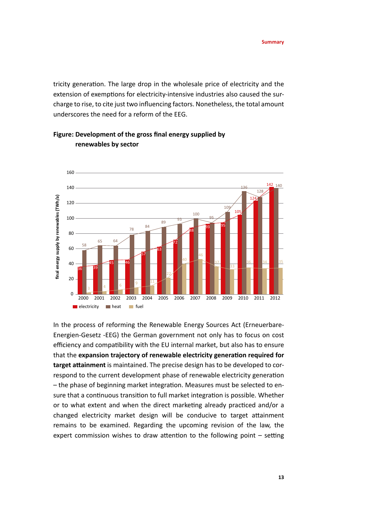tricity generation. The large drop in the wholesale price of electricity and the extension of exemptions for electricity-intensive industries also caused the surcharge to rise, to cite just two influencing factors. Nonetheless, the total amount underscores the need for a reform of the EEG.



## **Figure: Development of the gross final energy supplied by renewables by sector**

In the process of reforming the Renewable Energy Sources Act (Erneuerbare-Energien-Gesetz -EEG) the German government not only has to focus on cost efficiency and compatibility with the EU internal market, but also has to ensure that the **expansion trajectory of renewable electricity generation required for target attainment** is maintained. The precise design has to be developed to correspond to the current development phase of renewable electricity generation – the phase of beginning market integration. Measures must be selected to ensure that a continuous transition to full market integration is possible. Whether or to what extent and when the direct marketing already practiced and/or a changed electricity market design will be conducive to target attainment remains to be examined. Regarding the upcoming revision of the law, the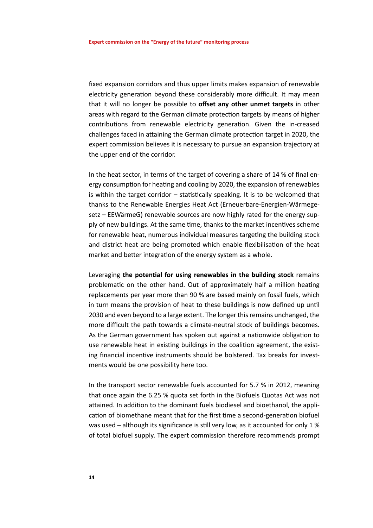fixed expansion corridors and thus upper limits makes expansion of renewable electricity generation beyond these considerably more difficult. It may mean that it will no longer be possible to **offset any other unmet targets** in other areas with regard to the German climate protection targets by means of higher contributions from renewable electricity generation. Given the in-creased challenges faced in attaining the German climate protection target in 2020, the expert commission believes it is necessary to pursue an expansion trajectory at the upper end of the corridor.

In the heat sector, in terms of the target of covering a share of 14 % of final energy consumption for heating and cooling by 2020, the expansion of renewables is within the target corridor – statistically speaking. It is to be welcomed that thanks to the Renewable Energies Heat Act (Erneuerbare-Energien-Wärmegesetz – EEWärmeG) renewable sources are now highly rated for the energy supply of new buildings. At the same time, thanks to the market incentives scheme for renewable heat, numerous individual measures targeting the building stock and district heat are being promoted which enable flexibilisation of the heat market and better integration of the energy system as a whole.

Leveraging **the potential for using renewables in the building stock** remains problematic on the other hand. Out of approximately half a million heating replacements per year more than 90 % are based mainly on fossil fuels, which in turn means the provision of heat to these buildings is now defined up until 2030 and even beyond to a large extent. The longer this remains unchanged, the more difficult the path towards a climate-neutral stock of buildings becomes. As the German government has spoken out against a nationwide obligation to use renewable heat in existing buildings in the coalition agreement, the existing financial incentive instruments should be bolstered. Tax breaks for investments would be one possibility here too.

In the transport sector renewable fuels accounted for 5.7 % in 2012, meaning that once again the 6.25 % quota set forth in the Biofuels Quotas Act was not attained. In addition to the dominant fuels biodiesel and bioethanol, the application of biomethane meant that for the first time a second-generation biofuel was used – although its significance is still very low, as it accounted for only 1 % of total biofuel supply. The expert commission therefore recommends prompt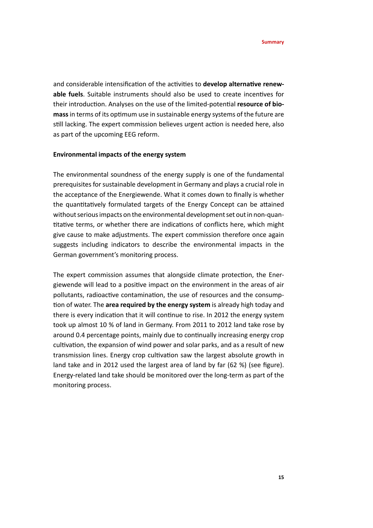and considerable intensification of the activities to **develop alternative renewable fuels**. Suitable instruments should also be used to create incentives for their introduction. Analyses on the use of the limited-potential **resource of biomass** in terms of its optimum use in sustainable energy systems of the future are still lacking. The expert commission believes urgent action is needed here, also as part of the upcoming EEG reform.

## **Environmental impacts of the energy system**

The environmental soundness of the energy supply is one of the fundamental prerequisites for sustainable development in Germany and plays a crucial role in the acceptance of the Energiewende. What it comes down to finally is whether the quantitatively formulated targets of the Energy Concept can be attained without serious impacts on the environmental development set out in non-quantitative terms, or whether there are indications of conflicts here, which might give cause to make adjustments. The expert commission therefore once again suggests including indicators to describe the environmental impacts in the German government's monitoring process.

The expert commission assumes that alongside climate protection, the Energiewende will lead to a positive impact on the environment in the areas of air pollutants, radioactive contamination, the use of resources and the consumption of water. The **area required by the energy system** is already high today and there is every indication that it will continue to rise. In 2012 the energy system took up almost 10 % of land in Germany. From 2011 to 2012 land take rose by around 0.4 percentage points, mainly due to continually increasing energy crop cultivation, the expansion of wind power and solar parks, and as a result of new transmission lines. Energy crop cultivation saw the largest absolute growth in land take and in 2012 used the largest area of land by far (62 %) (see figure). Energy-related land take should be monitored over the long-term as part of the monitoring process.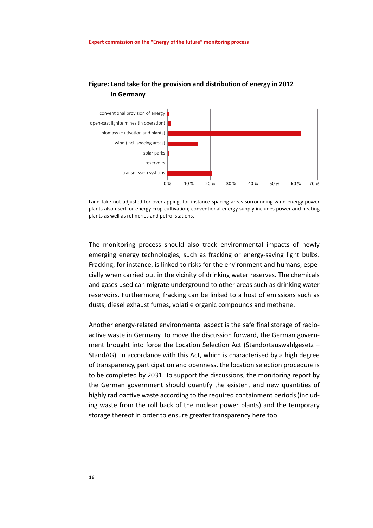

## **Figure: Land take for the provision and distribution of energy in 2012 in Germany**

Land take not adjusted for overlapping, for instance spacing areas surrounding wind energy power plants also used for energy crop cultivation; conventional energy supply includes power and heating plants as well as refineries and petrol stations.

The monitoring process should also track environmental impacts of newly emerging energy technologies, such as fracking or energy-saving light bulbs. Fracking, for instance, is linked to risks for the environment and humans, especially when carried out in the vicinity of drinking water reserves. The chemicals and gases used can migrate underground to other areas such as drinking water reservoirs. Furthermore, fracking can be linked to a host of emissions such as dusts, diesel exhaust fumes, volatile organic compounds and methane.

Another energy-related environmental aspect is the safe final storage of radioactive waste in Germany. To move the discussion forward, the German government brought into force the Location Selection Act (Standortauswahlgesetz – StandAG). In accordance with this Act, which is characterised by a high degree of transparency, participation and openness, the location selection procedure is to be completed by 2031. To support the discussions, the monitoring report by the German government should quantify the existent and new quantities of highly radioactive waste according to the required containment periods (including waste from the roll back of the nuclear power plants) and the temporary storage thereof in order to ensure greater transparency here too.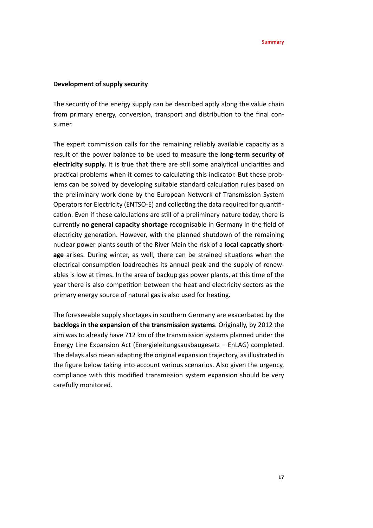## **Development of supply security**

The security of the energy supply can be described aptly along the value chain from primary energy, conversion, transport and distribution to the final consumer.

The expert commission calls for the remaining reliably available capacity as a result of the power balance to be used to measure the **long-term security of electricity supply.** It is true that there are still some analytical unclarities and practical problems when it comes to calculating this indicator. But these problems can be solved by developing suitable standard calculation rules based on the preliminary work done by the European Network of Transmission System Operators for Electricity (ENTSO-E) and collecting the data required for quantification. Even if these calculations are still of a preliminary nature today, there is currently **no general capacity shortage** recognisable in Germany in the field of electricity generation. However, with the planned shutdown of the remaining nuclear power plants south of the River Main the risk of a **local capcatiy shortage** arises. During winter, as well, there can be strained situations when the electrical consumption loadreaches its annual peak and the supply of renewables is low at times. In the area of backup gas power plants, at this time of the year there is also competition between the heat and electricity sectors as the primary energy source of natural gas is also used for heating.

The foreseeable supply shortages in southern Germany are exacerbated by the **backlogs in the expansion of the transmission systems**. Originally, by 2012 the aim was to already have 712 km of the transmission systems planned under the Energy Line Expansion Act (Energieleitungsausbaugesetz – EnLAG) completed. The delays also mean adapting the original expansion trajectory, as illustrated in the figure below taking into account various scenarios. Also given the urgency, compliance with this modified transmission system expansion should be very carefully monitored.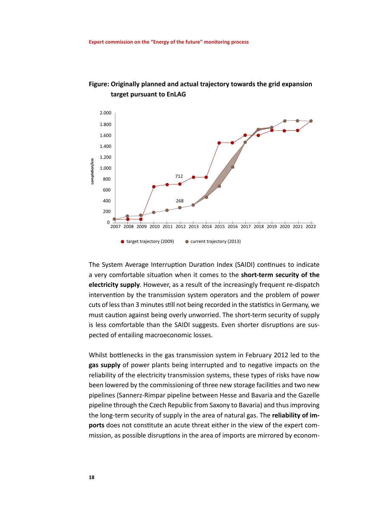



The System Average Interruption Duration Index (SAIDI) continues to indicate a very comfortable situation when it comes to the **short-term security of the electricity supply**. However, as a result of the increasingly frequent re-dispatch intervention by the transmission system operators and the problem of power cuts of less than 3 minutes still not being recorded in the statistics in Germany, we must caution against being overly unworried. The short-term security of supply is less comfortable than the SAIDI suggests. Even shorter disruptions are suspected of entailing macroeconomic losses.

Whilst bottlenecks in the gas transmission system in February 2012 led to the **gas supply** of power plants being interrupted and to negative impacts on the reliability of the electricity transmission systems, these types of risks have now been lowered by the commissioning of three new storage facilities and two new pipelines (Sannerz-Rimpar pipeline between Hesse and Bavaria and the Gazelle pipeline through the Czech Republic from Saxony to Bavaria) and thus improving the long-term security of supply in the area of natural gas. The **reliability of imports** does not constitute an acute threat either in the view of the expert com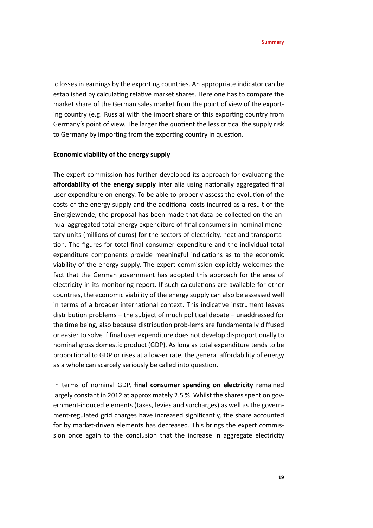ic losses in earnings by the exporting countries. An appropriate indicator can be established by calculating relative market shares. Here one has to compare the market share of the German sales market from the point of view of the exporting country (e.g. Russia) with the import share of this exporting country from Germany's point of view. The larger the quotient the less critical the supply risk to Germany by importing from the exporting country in question.

## **Economic viability of the energy supply**

The expert commission has further developed its approach for evaluating the **affordability of the energy supply** inter alia using nationally aggregated final user expenditure on energy. To be able to properly assess the evolution of the costs of the energy supply and the additional costs incurred as a result of the Energiewende, the proposal has been made that data be collected on the annual aggregated total energy expenditure of final consumers in nominal monetary units (millions of euros) for the sectors of electricity, heat and transportation. The figures for total final consumer expenditure and the individual total expenditure components provide meaningful indications as to the economic viability of the energy supply. The expert commission explicitly welcomes the fact that the German government has adopted this approach for the area of electricity in its monitoring report. If such calculations are available for other countries, the economic viability of the energy supply can also be assessed well in terms of a broader international context. This indicative instrument leaves distribution problems – the subject of much political debate – unaddressed for the time being, also because distribution prob-lems are fundamentally diffused or easier to solve if final user expenditure does not develop disproportionally to nominal gross domestic product (GDP). As long as total expenditure tends to be proportional to GDP or rises at a low-er rate, the general affordability of energy as a whole can scarcely seriously be called into question.

In terms of nominal GDP, **final consumer spending on electricity** remained largely constant in 2012 at approximately 2.5 %. Whilst the shares spent on government-induced elements (taxes, levies and surcharges) as well as the government-regulated grid charges have increased significantly, the share accounted for by market-driven elements has decreased. This brings the expert commission once again to the conclusion that the increase in aggregate electricity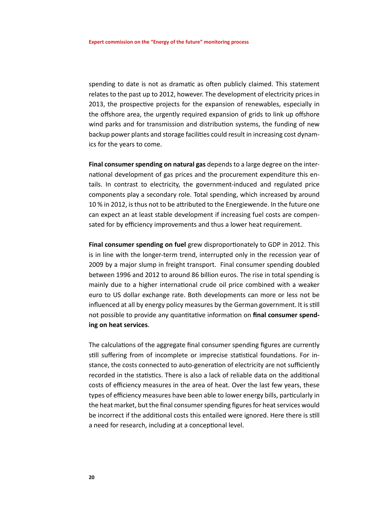spending to date is not as dramatic as often publicly claimed. This statement relates to the past up to 2012, however. The development of electricity prices in 2013, the prospective projects for the expansion of renewables, especially in the offshore area, the urgently required expansion of grids to link up offshore wind parks and for transmission and distribution systems, the funding of new backup power plants and storage facilities could result in increasing cost dynamics for the years to come.

**Final consumer spending on natural gas** depends to a large degree on the international development of gas prices and the procurement expenditure this entails. In contrast to electricity, the government-induced and regulated price components play a secondary role. Total spending, which increased by around 10 % in 2012, is thus not to be attributed to the Energiewende. In the future one can expect an at least stable development if increasing fuel costs are compensated for by efficiency improvements and thus a lower heat requirement.

**Final consumer spending on fuel** grew disproportionately to GDP in 2012. This is in line with the longer-term trend, interrupted only in the recession year of 2009 by a major slump in freight transport. Final consumer spending doubled between 1996 and 2012 to around 86 billion euros. The rise in total spending is mainly due to a higher international crude oil price combined with a weaker euro to US dollar exchange rate. Both developments can more or less not be influenced at all by energy policy measures by the German government. It is still not possible to provide any quantitative information on **final consumer spending on heat services**.

The calculations of the aggregate final consumer spending figures are currently still suffering from of incomplete or imprecise statistical foundations. For instance, the costs connected to auto-generation of electricity are not sufficiently recorded in the statistics. There is also a lack of reliable data on the additional costs of efficiency measures in the area of heat. Over the last few years, these types of efficiency measures have been able to lower energy bills, particularly in the heat market, but the final consumer spending figures for heat services would be incorrect if the additional costs this entailed were ignored. Here there is still a need for research, including at a conceptional level.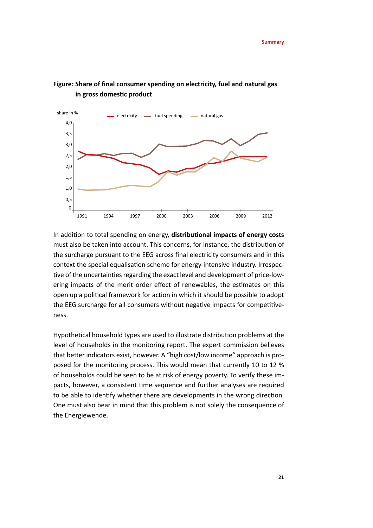

## **Figure: Share of final consumer spending on electricity, fuel and natural gas in gross domestic product**

In addition to total spending on energy, **distributional impacts of energy costs**  must also be taken into account. This concerns, for instance, the distribution of the surcharge pursuant to the EEG across final electricity consumers and in this context the special equalisation scheme for energy-intensive industry. Irrespective of the uncertainties regarding the exact level and development of price-lowering impacts of the merit order effect of renewables, the estimates on this open up a political framework for action in which it should be possible to adopt the EEG surcharge for all consumers without negative impacts for competitiveness.

Hypothetical household types are used to illustrate distribution problems at the level of households in the monitoring report. The expert commission believes that better indicators exist, however. A "high cost/low income" approach is proposed for the monitoring process. This would mean that currently 10 to 12 % of households could be seen to be at risk of energy poverty. To verify these impacts, however, a consistent time sequence and further analyses are required to be able to identify whether there are developments in the wrong direction. One must also bear in mind that this problem is not solely the consequence of the Energiewende.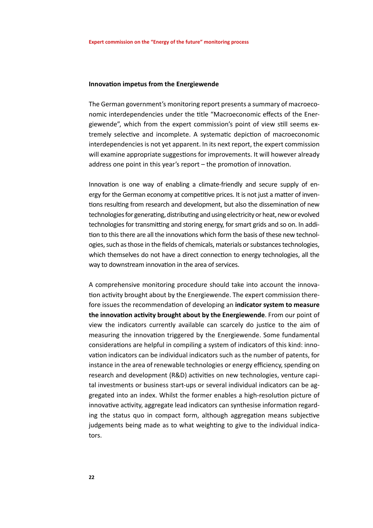### **Innovation impetus from the Energiewende**

The German government's monitoring report presents a summary of macroeconomic interdependencies under the title "Macroeconomic effects of the Energiewende", which from the expert commission's point of view still seems extremely selective and incomplete. A systematic depiction of macroeconomic interdependencies is not yet apparent. In its next report, the expert commission will examine appropriate suggestions for improvements. It will however already address one point in this year's report – the promotion of innovation.

Innovation is one way of enabling a climate-friendly and secure supply of energy for the German economy at competitive prices. It is not just a matter of inventions resulting from research and development, but also the dissemination of new technologies for generating, distributing and using electricity or heat, new or evolved technologies for transmitting and storing energy, for smart grids and so on. In addition to this there are all the innovations which form the basis of these new technologies, such as those in the fields of chemicals, materials or substances technologies, which themselves do not have a direct connection to energy technologies, all the way to downstream innovation in the area of services.

A comprehensive monitoring procedure should take into account the innovation activity brought about by the Energiewende. The expert commission therefore issues the recommendation of developing an **indicator system to measure the innovation activity brought about by the Energiewende**. From our point of view the indicators currently available can scarcely do justice to the aim of measuring the innovation triggered by the Energiewende. Some fundamental considerations are helpful in compiling a system of indicators of this kind: innovation indicators can be individual indicators such as the number of patents, for instance in the area of renewable technologies or energy efficiency, spending on research and development (R&D) activities on new technologies, venture capital investments or business start-ups or several individual indicators can be aggregated into an index. Whilst the former enables a high-resolution picture of innovative activity, aggregate lead indicators can synthesise information regarding the status quo in compact form, although aggregation means subjective judgements being made as to what weighting to give to the individual indicators.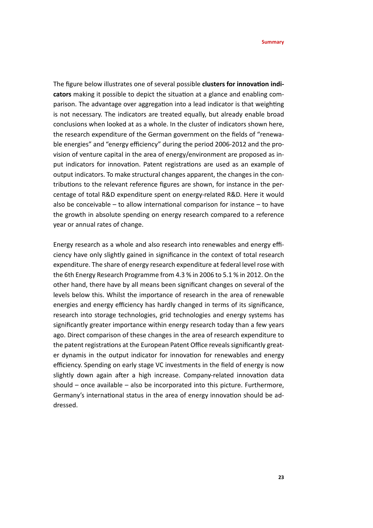The figure below illustrates one of several possible **clusters for innovation indicators** making it possible to depict the situation at a glance and enabling comparison. The advantage over aggregation into a lead indicator is that weighting is not necessary. The indicators are treated equally, but already enable broad conclusions when looked at as a whole. In the cluster of indicators shown here, the research expenditure of the German government on the fields of "renewable energies" and "energy efficiency" during the period 2006-2012 and the provision of venture capital in the area of energy/environment are proposed as input indicators for innovation. Patent registrations are used as an example of output indicators. To make structural changes apparent, the changes in the contributions to the relevant reference figures are shown, for instance in the percentage of total R&D expenditure spent on energy-related R&D. Here it would also be conceivable – to allow international comparison for instance – to have the growth in absolute spending on energy research compared to a reference year or annual rates of change.

Energy research as a whole and also research into renewables and energy efficiency have only slightly gained in significance in the context of total research expenditure. The share of energy research expenditure at federal level rose with the 6th Energy Research Programme from 4.3 % in 2006 to 5.1 % in 2012. On the other hand, there have by all means been significant changes on several of the levels below this. Whilst the importance of research in the area of renewable energies and energy efficiency has hardly changed in terms of its significance, research into storage technologies, grid technologies and energy systems has significantly greater importance within energy research today than a few years ago. Direct comparison of these changes in the area of research expenditure to the patent registrations at the European Patent Office reveals significantly greater dynamis in the output indicator for innovation for renewables and energy efficiency. Spending on early stage VC investments in the field of energy is now slightly down again after a high increase. Company-related innovation data should – once available – also be incorporated into this picture. Furthermore, Germany's international status in the area of energy innovation should be addressed.